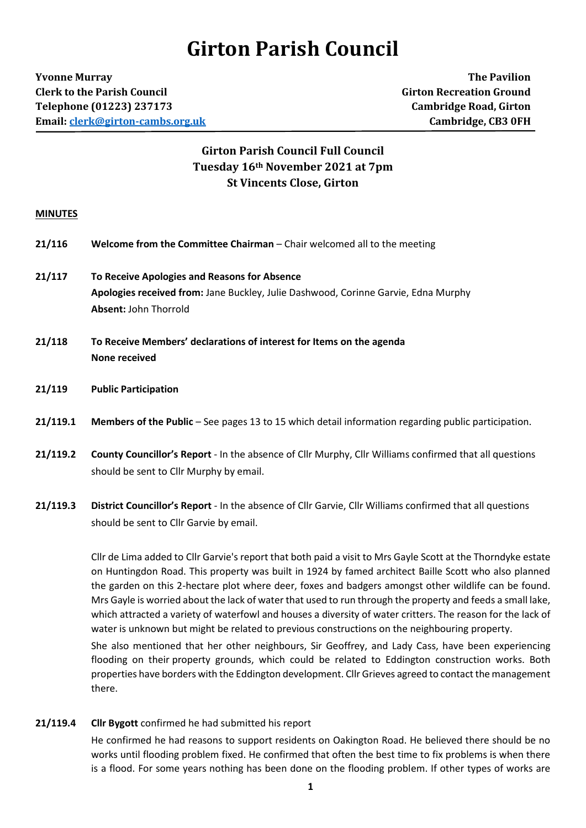# **Girton Parish Council**

**Yvonne Murray The Pavilion Clerk to the Parish Council Girton Recreation Ground Telephone (01223) 237173 Cambridge Road, Girton Email[: clerk@girton-cambs.org.uk](mailto:clerk@girton-cambs.org.uk) Cambridge, CB3 0FH**

# **Girton Parish Council Full Council Tuesday 16th November 2021 at 7pm St Vincents Close, Girton**

# **MINUTES**

| 21/116 | <b>Welcome from the Committee Chairman</b> – Chair welcomed all to the meeting |  |
|--------|--------------------------------------------------------------------------------|--|
|--------|--------------------------------------------------------------------------------|--|

- **21/117 To Receive Apologies and Reasons for Absence Apologies received from:** Jane Buckley, Julie Dashwood, Corinne Garvie, Edna Murphy **Absent:** John Thorrold
- **21/118 To Receive Members' declarations of interest for Items on the agenda None received**
- **21/119 Public Participation**
- **21/119.1 Members of the Public** See pages 13 to 15 which detail information regarding public participation.
- **21/119.2 County Councillor's Report** In the absence of Cllr Murphy, Cllr Williams confirmed that all questions should be sent to Cllr Murphy by email.
- **21/119.3 District Councillor's Report** In the absence of Cllr Garvie, Cllr Williams confirmed that all questions should be sent to Cllr Garvie by email.

Cllr de Lima added to Cllr Garvie's report that both paid a visit to Mrs Gayle Scott at the Thorndyke estate on Huntingdon Road. This property was built in 1924 by famed architect Baille Scott who also planned the garden on this 2-hectare plot where deer, foxes and badgers amongst other wildlife can be found. Mrs Gayle is worried about the lack of water that used to run through the property and feeds a small lake, which attracted a variety of waterfowl and houses a diversity of water critters. The reason for the lack of water is unknown but might be related to previous constructions on the neighbouring property.

She also mentioned that her other neighbours, Sir Geoffrey, and Lady Cass, have been experiencing flooding on their property grounds, which could be related to Eddington construction works. Both properties have borders with the Eddington development. Cllr Grieves agreed to contact the management there.

**21/119.4 Cllr Bygott** confirmed he had submitted his report

He confirmed he had reasons to support residents on Oakington Road. He believed there should be no works until flooding problem fixed. He confirmed that often the best time to fix problems is when there is a flood. For some years nothing has been done on the flooding problem. If other types of works are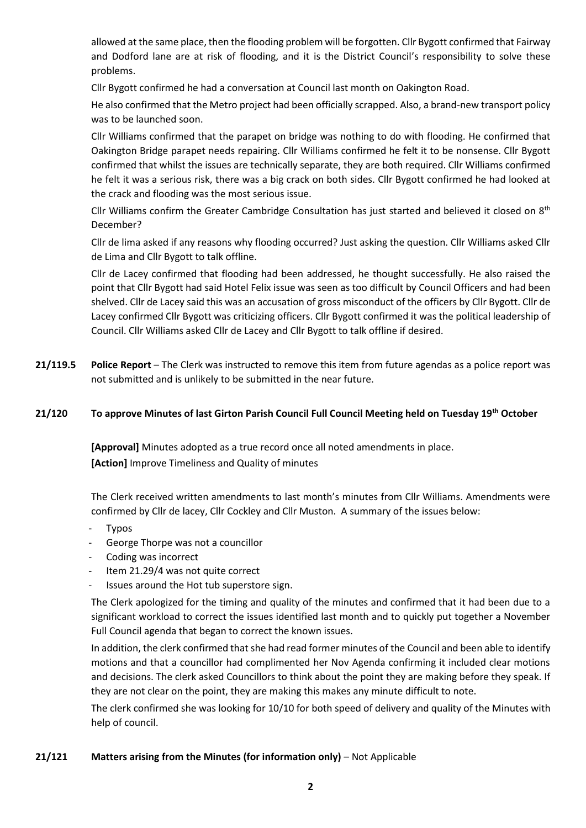allowed at the same place, then the flooding problem will be forgotten. Cllr Bygott confirmed that Fairway and Dodford lane are at risk of flooding, and it is the District Council's responsibility to solve these problems.

Cllr Bygott confirmed he had a conversation at Council last month on Oakington Road.

He also confirmed that the Metro project had been officially scrapped. Also, a brand-new transport policy was to be launched soon.

Cllr Williams confirmed that the parapet on bridge was nothing to do with flooding. He confirmed that Oakington Bridge parapet needs repairing. Cllr Williams confirmed he felt it to be nonsense. Cllr Bygott confirmed that whilst the issues are technically separate, they are both required. Cllr Williams confirmed he felt it was a serious risk, there was a big crack on both sides. Cllr Bygott confirmed he had looked at the crack and flooding was the most serious issue.

Cllr Williams confirm the Greater Cambridge Consultation has just started and believed it closed on 8<sup>th</sup> December?

Cllr de lima asked if any reasons why flooding occurred? Just asking the question. Cllr Williams asked Cllr de Lima and Cllr Bygott to talk offline.

Cllr de Lacey confirmed that flooding had been addressed, he thought successfully. He also raised the point that Cllr Bygott had said Hotel Felix issue was seen as too difficult by Council Officers and had been shelved. Cllr de Lacey said this was an accusation of gross misconduct of the officers by Cllr Bygott. Cllr de Lacey confirmed Cllr Bygott was criticizing officers. Cllr Bygott confirmed it was the political leadership of Council. Cllr Williams asked Cllr de Lacey and Cllr Bygott to talk offline if desired.

**21/119.5 Police Report** – The Clerk was instructed to remove this item from future agendas as a police report was not submitted and is unlikely to be submitted in the near future.

# **21/120 To approve Minutes of last Girton Parish Council Full Council Meeting held on Tuesday 19th October**

**[Approval]** Minutes adopted as a true record once all noted amendments in place. **[Action]** Improve Timeliness and Quality of minutes

The Clerk received written amendments to last month's minutes from Cllr Williams. Amendments were confirmed by Cllr de lacey, Cllr Cockley and Cllr Muston. A summary of the issues below:

- **Typos**
- George Thorpe was not a councillor
- Coding was incorrect
- Item 21.29/4 was not quite correct
- Issues around the Hot tub superstore sign.

The Clerk apologized for the timing and quality of the minutes and confirmed that it had been due to a significant workload to correct the issues identified last month and to quickly put together a November Full Council agenda that began to correct the known issues.

In addition, the clerk confirmed that she had read former minutes of the Council and been able to identify motions and that a councillor had complimented her Nov Agenda confirming it included clear motions and decisions. The clerk asked Councillors to think about the point they are making before they speak. If they are not clear on the point, they are making this makes any minute difficult to note.

The clerk confirmed she was looking for 10/10 for both speed of delivery and quality of the Minutes with help of council.

# **21/121 Matters arising from the Minutes (for information only)** – Not Applicable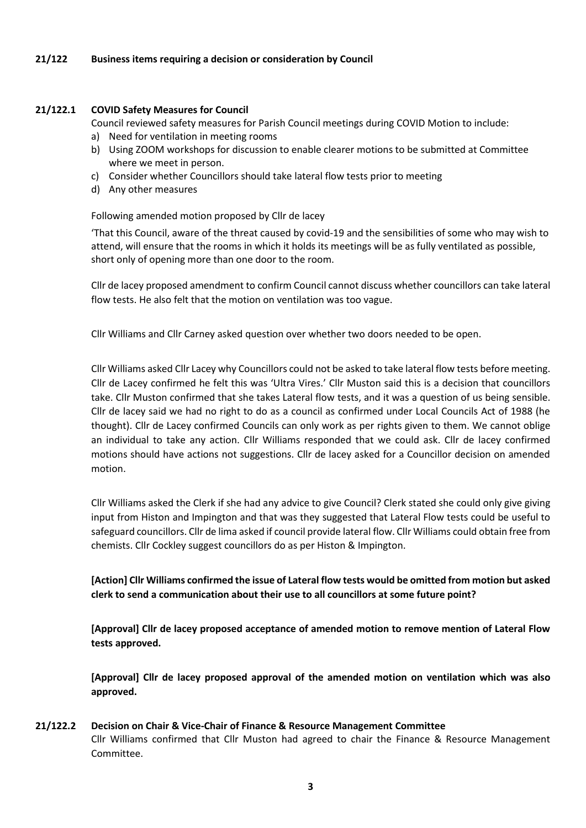# **21/122 Business items requiring a decision or consideration by Council**

#### **21/122.1 COVID Safety Measures for Council**

Council reviewed safety measures for Parish Council meetings during COVID Motion to include:

- a) Need for ventilation in meeting rooms
- b) Using ZOOM workshops for discussion to enable clearer motions to be submitted at Committee where we meet in person.
- c) Consider whether Councillors should take lateral flow tests prior to meeting
- d) Any other measures

#### Following amended motion proposed by Cllr de lacey

'That this Council, aware of the threat caused by covid-19 and the sensibilities of some who may wish to attend, will ensure that the rooms in which it holds its meetings will be as fully ventilated as possible, short only of opening more than one door to the room.

Cllr de lacey proposed amendment to confirm Council cannot discuss whether councillors can take lateral flow tests. He also felt that the motion on ventilation was too vague.

Cllr Williams and Cllr Carney asked question over whether two doors needed to be open.

Cllr Williams asked Cllr Lacey why Councillors could not be asked to take lateral flow tests before meeting. Cllr de Lacey confirmed he felt this was 'Ultra Vires.' Cllr Muston said this is a decision that councillors take. Cllr Muston confirmed that she takes Lateral flow tests, and it was a question of us being sensible. Cllr de lacey said we had no right to do as a council as confirmed under Local Councils Act of 1988 (he thought). Cllr de Lacey confirmed Councils can only work as per rights given to them. We cannot oblige an individual to take any action. Cllr Williams responded that we could ask. Cllr de lacey confirmed motions should have actions not suggestions. Cllr de lacey asked for a Councillor decision on amended motion.

Cllr Williams asked the Clerk if she had any advice to give Council? Clerk stated she could only give giving input from Histon and Impington and that was they suggested that Lateral Flow tests could be useful to safeguard councillors. Cllr de lima asked if council provide lateral flow. Cllr Williams could obtain free from chemists. Cllr Cockley suggest councillors do as per Histon & Impington.

**[Action] Cllr Williams confirmed the issue of Lateral flow tests would be omitted from motion but asked clerk to send a communication about their use to all councillors at some future point?**

**[Approval] Cllr de lacey proposed acceptance of amended motion to remove mention of Lateral Flow tests approved.** 

**[Approval] Cllr de lacey proposed approval of the amended motion on ventilation which was also approved.**

# **21/122.2 Decision on Chair & Vice-Chair of Finance & Resource Management Committee** Cllr Williams confirmed that Cllr Muston had agreed to chair the Finance & Resource Management Committee.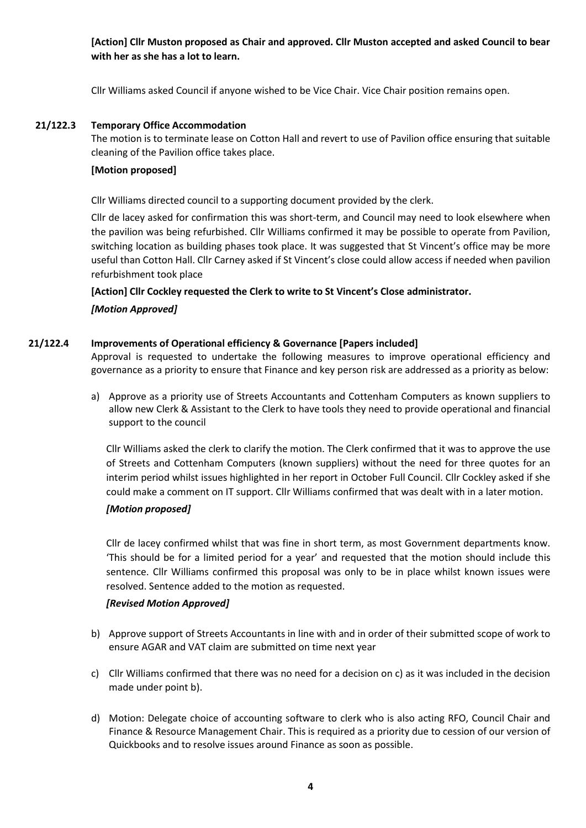# **[Action] Cllr Muston proposed as Chair and approved. Cllr Muston accepted and asked Council to bear with her as she has a lot to learn.**

Cllr Williams asked Council if anyone wished to be Vice Chair. Vice Chair position remains open.

# **21/122.3 Temporary Office Accommodation**

The motion is to terminate lease on Cotton Hall and revert to use of Pavilion office ensuring that suitable cleaning of the Pavilion office takes place.

# **[Motion proposed]**

Cllr Williams directed council to a supporting document provided by the clerk.

Cllr de lacey asked for confirmation this was short-term, and Council may need to look elsewhere when the pavilion was being refurbished. Cllr Williams confirmed it may be possible to operate from Pavilion, switching location as building phases took place. It was suggested that St Vincent's office may be more useful than Cotton Hall. Cllr Carney asked if St Vincent's close could allow access if needed when pavilion refurbishment took place

**[Action] Cllr Cockley requested the Clerk to write to St Vincent's Close administrator.** 

# *[Motion Approved]*

# **21/122.4 Improvements of Operational efficiency & Governance [Papers included]**

Approval is requested to undertake the following measures to improve operational efficiency and governance as a priority to ensure that Finance and key person risk are addressed as a priority as below:

a) Approve as a priority use of Streets Accountants and Cottenham Computers as known suppliers to allow new Clerk & Assistant to the Clerk to have tools they need to provide operational and financial support to the council

Cllr Williams asked the clerk to clarify the motion. The Clerk confirmed that it was to approve the use of Streets and Cottenham Computers (known suppliers) without the need for three quotes for an interim period whilst issues highlighted in her report in October Full Council. Cllr Cockley asked if she could make a comment on IT support. Cllr Williams confirmed that was dealt with in a later motion.

# *[Motion proposed]*

Cllr de lacey confirmed whilst that was fine in short term, as most Government departments know. 'This should be for a limited period for a year' and requested that the motion should include this sentence. Cllr Williams confirmed this proposal was only to be in place whilst known issues were resolved. Sentence added to the motion as requested.

# *[Revised Motion Approved]*

- b) Approve support of Streets Accountants in line with and in order of their submitted scope of work to ensure AGAR and VAT claim are submitted on time next year
- c) Cllr Williams confirmed that there was no need for a decision on c) as it was included in the decision made under point b).
- d) Motion: Delegate choice of accounting software to clerk who is also acting RFO, Council Chair and Finance & Resource Management Chair. This is required as a priority due to cession of our version of Quickbooks and to resolve issues around Finance as soon as possible.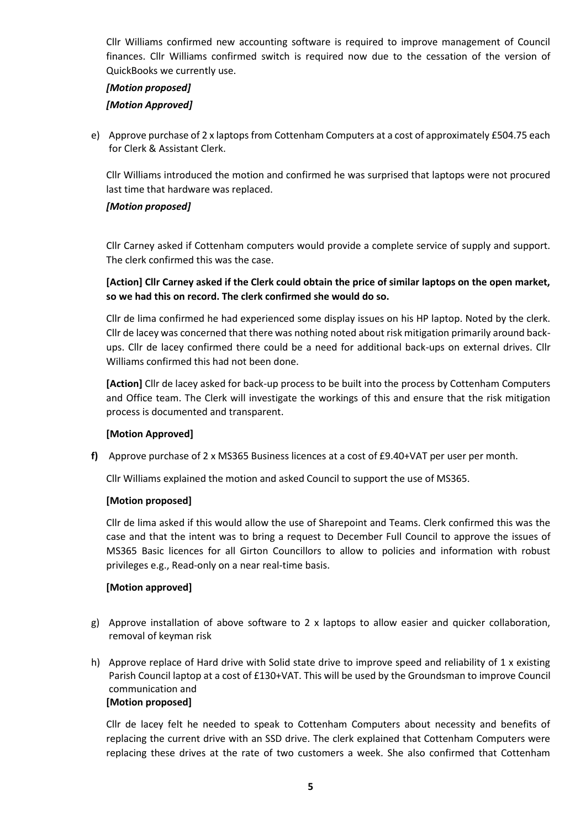Cllr Williams confirmed new accounting software is required to improve management of Council finances. Cllr Williams confirmed switch is required now due to the cessation of the version of QuickBooks we currently use.

# *[Motion proposed] [Motion Approved]*

e) Approve purchase of 2 x laptops from Cottenham Computers at a cost of approximately £504.75 each for Clerk & Assistant Clerk.

Cllr Williams introduced the motion and confirmed he was surprised that laptops were not procured last time that hardware was replaced.

# *[Motion proposed]*

Cllr Carney asked if Cottenham computers would provide a complete service of supply and support. The clerk confirmed this was the case.

# **[Action] Cllr Carney asked if the Clerk could obtain the price of similar laptops on the open market, so we had this on record. The clerk confirmed she would do so.**

Cllr de lima confirmed he had experienced some display issues on his HP laptop. Noted by the clerk. Cllr de lacey was concerned that there was nothing noted about risk mitigation primarily around backups. Cllr de lacey confirmed there could be a need for additional back-ups on external drives. Cllr Williams confirmed this had not been done.

**[Action]** Cllr de lacey asked for back-up process to be built into the process by Cottenham Computers and Office team. The Clerk will investigate the workings of this and ensure that the risk mitigation process is documented and transparent.

# **[Motion Approved]**

**f)** Approve purchase of 2 x MS365 Business licences at a cost of £9.40+VAT per user per month.

Cllr Williams explained the motion and asked Council to support the use of MS365.

# **[Motion proposed]**

Cllr de lima asked if this would allow the use of Sharepoint and Teams. Clerk confirmed this was the case and that the intent was to bring a request to December Full Council to approve the issues of MS365 Basic licences for all Girton Councillors to allow to policies and information with robust privileges e.g., Read-only on a near real-time basis.

# **[Motion approved]**

- g) Approve installation of above software to 2 x laptops to allow easier and quicker collaboration, removal of keyman risk
- h) Approve replace of Hard drive with Solid state drive to improve speed and reliability of 1 x existing Parish Council laptop at a cost of £130+VAT. This will be used by the Groundsman to improve Council communication and **[Motion proposed]**

Cllr de lacey felt he needed to speak to Cottenham Computers about necessity and benefits of replacing the current drive with an SSD drive. The clerk explained that Cottenham Computers were replacing these drives at the rate of two customers a week. She also confirmed that Cottenham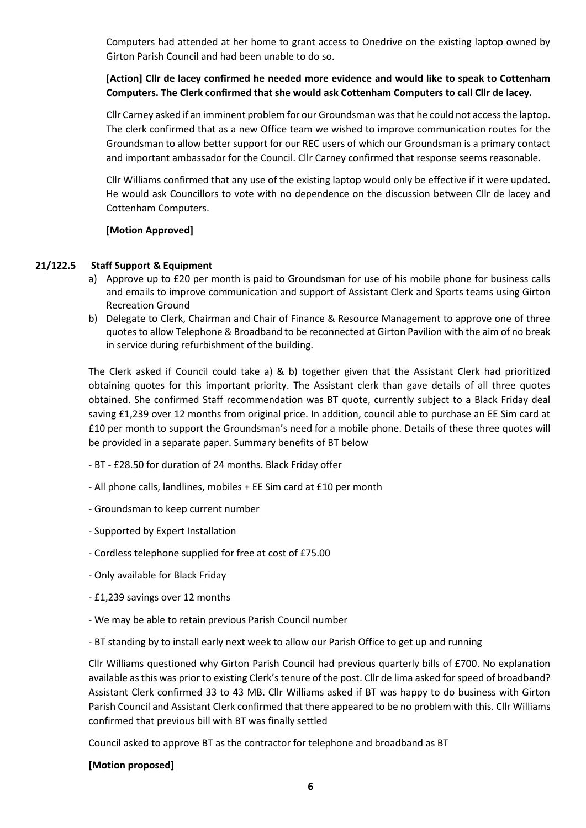Computers had attended at her home to grant access to Onedrive on the existing laptop owned by Girton Parish Council and had been unable to do so.

# **[Action] Cllr de lacey confirmed he needed more evidence and would like to speak to Cottenham Computers. The Clerk confirmed that she would ask Cottenham Computers to call Cllr de lacey.**

Cllr Carney asked if an imminent problem for our Groundsman was that he could not access the laptop. The clerk confirmed that as a new Office team we wished to improve communication routes for the Groundsman to allow better support for our REC users of which our Groundsman is a primary contact and important ambassador for the Council. Cllr Carney confirmed that response seems reasonable.

Cllr Williams confirmed that any use of the existing laptop would only be effective if it were updated. He would ask Councillors to vote with no dependence on the discussion between Cllr de lacey and Cottenham Computers.

# **[Motion Approved]**

# **21/122.5 Staff Support & Equipment**

- a) Approve up to £20 per month is paid to Groundsman for use of his mobile phone for business calls and emails to improve communication and support of Assistant Clerk and Sports teams using Girton Recreation Ground
- b) Delegate to Clerk, Chairman and Chair of Finance & Resource Management to approve one of three quotes to allow Telephone & Broadband to be reconnected at Girton Pavilion with the aim of no break in service during refurbishment of the building.

The Clerk asked if Council could take a) & b) together given that the Assistant Clerk had prioritized obtaining quotes for this important priority. The Assistant clerk than gave details of all three quotes obtained. She confirmed Staff recommendation was BT quote, currently subject to a Black Friday deal saving £1,239 over 12 months from original price. In addition, council able to purchase an EE Sim card at £10 per month to support the Groundsman's need for a mobile phone. Details of these three quotes will be provided in a separate paper. Summary benefits of BT below

- BT £28.50 for duration of 24 months. Black Friday offer
- All phone calls, landlines, mobiles + EE Sim card at £10 per month
- Groundsman to keep current number
- Supported by Expert Installation
- Cordless telephone supplied for free at cost of £75.00
- Only available for Black Friday
- £1,239 savings over 12 months
- We may be able to retain previous Parish Council number
- BT standing by to install early next week to allow our Parish Office to get up and running

Cllr Williams questioned why Girton Parish Council had previous quarterly bills of £700. No explanation available as this was prior to existing Clerk's tenure of the post. Cllr de lima asked for speed of broadband? Assistant Clerk confirmed 33 to 43 MB. Cllr Williams asked if BT was happy to do business with Girton Parish Council and Assistant Clerk confirmed that there appeared to be no problem with this. Cllr Williams confirmed that previous bill with BT was finally settled

Council asked to approve BT as the contractor for telephone and broadband as BT

# **[Motion proposed]**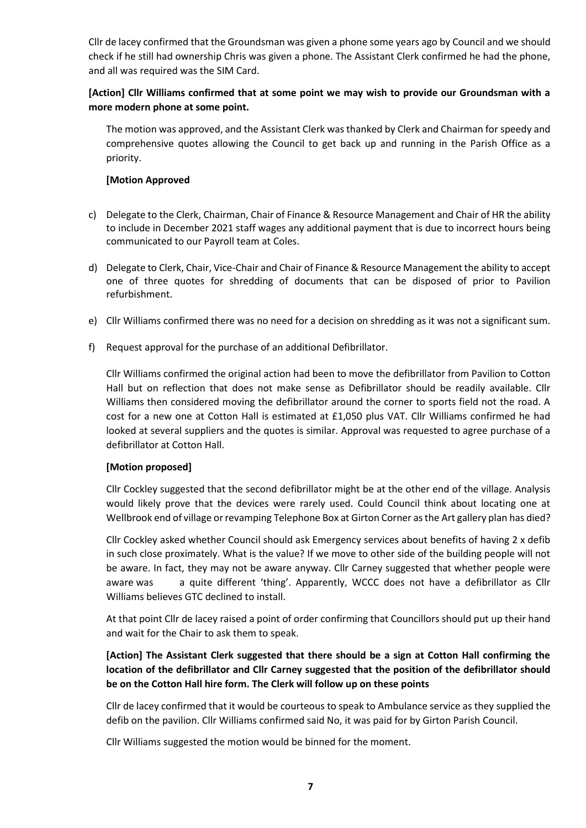Cllr de lacey confirmed that the Groundsman was given a phone some years ago by Council and we should check if he still had ownership Chris was given a phone. The Assistant Clerk confirmed he had the phone, and all was required was the SIM Card.

# **[Action] Cllr Williams confirmed that at some point we may wish to provide our Groundsman with a more modern phone at some point.**

The motion was approved, and the Assistant Clerk was thanked by Clerk and Chairman for speedy and comprehensive quotes allowing the Council to get back up and running in the Parish Office as a priority.

# **[Motion Approved**

- c) Delegate to the Clerk, Chairman, Chair of Finance & Resource Management and Chair of HR the ability to include in December 2021 staff wages any additional payment that is due to incorrect hours being communicated to our Payroll team at Coles.
- d) Delegate to Clerk, Chair, Vice-Chair and Chair of Finance & Resource Management the ability to accept one of three quotes for shredding of documents that can be disposed of prior to Pavilion refurbishment.
- e) Cllr Williams confirmed there was no need for a decision on shredding as it was not a significant sum.
- f) Request approval for the purchase of an additional Defibrillator.

Cllr Williams confirmed the original action had been to move the defibrillator from Pavilion to Cotton Hall but on reflection that does not make sense as Defibrillator should be readily available. Cllr Williams then considered moving the defibrillator around the corner to sports field not the road. A cost for a new one at Cotton Hall is estimated at £1,050 plus VAT. Cllr Williams confirmed he had looked at several suppliers and the quotes is similar. Approval was requested to agree purchase of a defibrillator at Cotton Hall.

# **[Motion proposed]**

Cllr Cockley suggested that the second defibrillator might be at the other end of the village. Analysis would likely prove that the devices were rarely used. Could Council think about locating one at Wellbrook end of village or revamping Telephone Box at Girton Corner as the Art gallery plan has died?

Cllr Cockley asked whether Council should ask Emergency services about benefits of having 2 x defib in such close proximately. What is the value? If we move to other side of the building people will not be aware. In fact, they may not be aware anyway. Cllr Carney suggested that whether people were aware was a quite different 'thing'. Apparently, WCCC does not have a defibrillator as Cllr Williams believes GTC declined to install.

At that point Cllr de lacey raised a point of order confirming that Councillors should put up their hand and wait for the Chair to ask them to speak.

# **[Action] The Assistant Clerk suggested that there should be a sign at Cotton Hall confirming the location of the defibrillator and Cllr Carney suggested that the position of the defibrillator should be on the Cotton Hall hire form. The Clerk will follow up on these points**

Cllr de lacey confirmed that it would be courteous to speak to Ambulance service as they supplied the defib on the pavilion. Cllr Williams confirmed said No, it was paid for by Girton Parish Council.

Cllr Williams suggested the motion would be binned for the moment.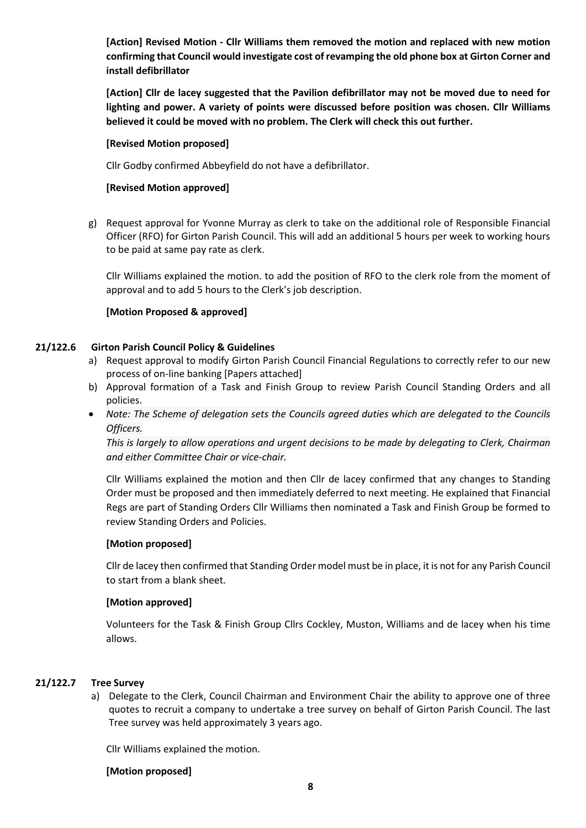**[Action] Revised Motion - Cllr Williams them removed the motion and replaced with new motion confirming that Council would investigate cost of revamping the old phone box at Girton Corner and install defibrillator**

**[Action] Cllr de lacey suggested that the Pavilion defibrillator may not be moved due to need for lighting and power. A variety of points were discussed before position was chosen. Cllr Williams believed it could be moved with no problem. The Clerk will check this out further.**

#### **[Revised Motion proposed]**

Cllr Godby confirmed Abbeyfield do not have a defibrillator.

#### **[Revised Motion approved]**

g) Request approval for Yvonne Murray as clerk to take on the additional role of Responsible Financial Officer (RFO) for Girton Parish Council. This will add an additional 5 hours per week to working hours to be paid at same pay rate as clerk.

Cllr Williams explained the motion. to add the position of RFO to the clerk role from the moment of approval and to add 5 hours to the Clerk's job description.

#### **[Motion Proposed & approved]**

# **21/122.6 Girton Parish Council Policy & Guidelines**

- a) Request approval to modify Girton Parish Council Financial Regulations to correctly refer to our new process of on-line banking [Papers attached]
- b) Approval formation of a Task and Finish Group to review Parish Council Standing Orders and all policies.
- *Note: The Scheme of delegation sets the Councils agreed duties which are delegated to the Councils Officers.*

*This is largely to allow operations and urgent decisions to be made by delegating to Clerk, Chairman and either Committee Chair or vice-chair.*

Cllr Williams explained the motion and then Cllr de lacey confirmed that any changes to Standing Order must be proposed and then immediately deferred to next meeting. He explained that Financial Regs are part of Standing Orders Cllr Williams then nominated a Task and Finish Group be formed to review Standing Orders and Policies.

# **[Motion proposed]**

Cllr de lacey then confirmed that Standing Order model must be in place, it is not for any Parish Council to start from a blank sheet.

# **[Motion approved]**

Volunteers for the Task & Finish Group Cllrs Cockley, Muston, Williams and de lacey when his time allows.

# **21/122.7 Tree Survey**

a) Delegate to the Clerk, Council Chairman and Environment Chair the ability to approve one of three quotes to recruit a company to undertake a tree survey on behalf of Girton Parish Council. The last Tree survey was held approximately 3 years ago.

Cllr Williams explained the motion.

#### **[Motion proposed]**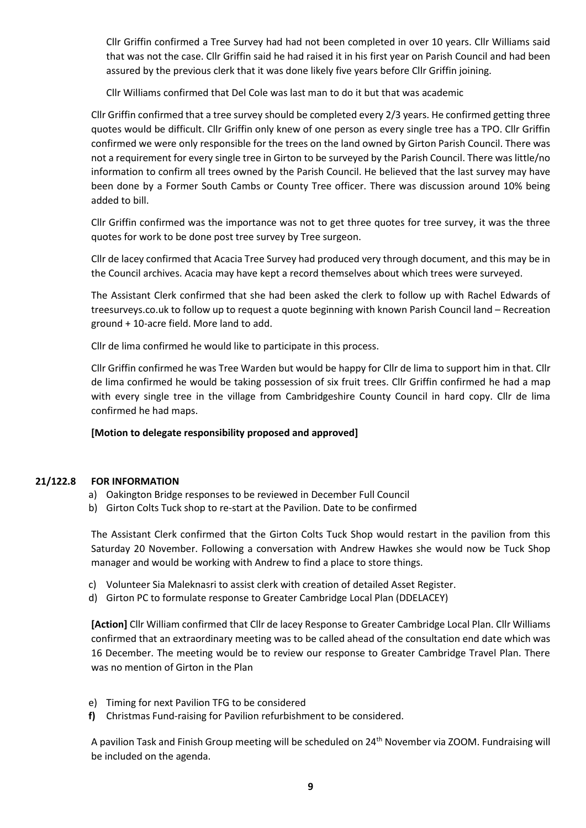Cllr Griffin confirmed a Tree Survey had had not been completed in over 10 years. Cllr Williams said that was not the case. Cllr Griffin said he had raised it in his first year on Parish Council and had been assured by the previous clerk that it was done likely five years before Cllr Griffin joining.

Cllr Williams confirmed that Del Cole was last man to do it but that was academic

Cllr Griffin confirmed that a tree survey should be completed every 2/3 years. He confirmed getting three quotes would be difficult. Cllr Griffin only knew of one person as every single tree has a TPO. Cllr Griffin confirmed we were only responsible for the trees on the land owned by Girton Parish Council. There was not a requirement for every single tree in Girton to be surveyed by the Parish Council. There was little/no information to confirm all trees owned by the Parish Council. He believed that the last survey may have been done by a Former South Cambs or County Tree officer. There was discussion around 10% being added to bill.

Cllr Griffin confirmed was the importance was not to get three quotes for tree survey, it was the three quotes for work to be done post tree survey by Tree surgeon.

Cllr de lacey confirmed that Acacia Tree Survey had produced very through document, and this may be in the Council archives. Acacia may have kept a record themselves about which trees were surveyed.

The Assistant Clerk confirmed that she had been asked the clerk to follow up with Rachel Edwards of treesurveys.co.uk to follow up to request a quote beginning with known Parish Council land – Recreation ground + 10-acre field. More land to add.

Cllr de lima confirmed he would like to participate in this process.

Cllr Griffin confirmed he was Tree Warden but would be happy for Cllr de lima to support him in that. Cllr de lima confirmed he would be taking possession of six fruit trees. Cllr Griffin confirmed he had a map with every single tree in the village from Cambridgeshire County Council in hard copy. Cllr de lima confirmed he had maps.

**[Motion to delegate responsibility proposed and approved]**

# **21/122.8 FOR INFORMATION**

- a) Oakington Bridge responses to be reviewed in December Full Council
- b) Girton Colts Tuck shop to re-start at the Pavilion. Date to be confirmed

The Assistant Clerk confirmed that the Girton Colts Tuck Shop would restart in the pavilion from this Saturday 20 November. Following a conversation with Andrew Hawkes she would now be Tuck Shop manager and would be working with Andrew to find a place to store things.

- c) Volunteer Sia Maleknasri to assist clerk with creation of detailed Asset Register.
- d) Girton PC to formulate response to Greater Cambridge Local Plan (DDELACEY)

**[Action]** Cllr William confirmed that Cllr de lacey Response to Greater Cambridge Local Plan. Cllr Williams confirmed that an extraordinary meeting was to be called ahead of the consultation end date which was 16 December. The meeting would be to review our response to Greater Cambridge Travel Plan. There was no mention of Girton in the Plan

- e) Timing for next Pavilion TFG to be considered
- **f)** Christmas Fund-raising for Pavilion refurbishment to be considered.

A pavilion Task and Finish Group meeting will be scheduled on 24th November via ZOOM. Fundraising will be included on the agenda.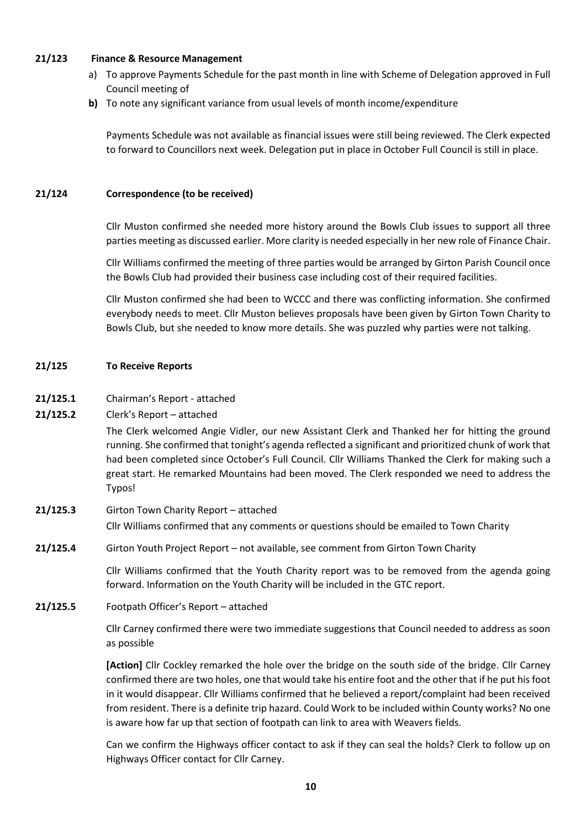## **21/123 Finance & Resource Management**

- a) To approve Payments Schedule for the past month in line with Scheme of Delegation approved in Full Council meeting of
- **b)** To note any significant variance from usual levels of month income/expenditure

Payments Schedule was not available as financial issues were still being reviewed. The Clerk expected to forward to Councillors next week. Delegation put in place in October Full Council is still in place.

#### **21/124 Correspondence (to be received)**

Cllr Muston confirmed she needed more history around the Bowls Club issues to support all three parties meeting as discussed earlier. More clarity is needed especially in her new role of Finance Chair.

Cllr Williams confirmed the meeting of three parties would be arranged by Girton Parish Council once the Bowls Club had provided their business case including cost of their required facilities.

Cllr Muston confirmed she had been to WCCC and there was conflicting information. She confirmed everybody needs to meet. Cllr Muston believes proposals have been given by Girton Town Charity to Bowls Club, but she needed to know more details. She was puzzled why parties were not talking.

#### **21/125 To Receive Reports**

- **21/125.1** Chairman's Report attached
- **21/125.2** Clerk's Report attached

The Clerk welcomed Angie Vidler, our new Assistant Clerk and Thanked her for hitting the ground running. She confirmed that tonight's agenda reflected a significant and prioritized chunk of work that had been completed since October's Full Council. Cllr Williams Thanked the Clerk for making such a great start. He remarked Mountains had been moved. The Clerk responded we need to address the Typos!

- **21/125.3** Girton Town Charity Report attached Cllr Williams confirmed that any comments or questions should be emailed to Town Charity
- **21/125.4** Girton Youth Project Report not available, see comment from Girton Town Charity

Cllr Williams confirmed that the Youth Charity report was to be removed from the agenda going forward. Information on the Youth Charity will be included in the GTC report.

**21/125.5** Footpath Officer's Report – attached

Cllr Carney confirmed there were two immediate suggestions that Council needed to address as soon as possible

**[Action]** Cllr Cockley remarked the hole over the bridge on the south side of the bridge. Cllr Carney confirmed there are two holes, one that would take his entire foot and the other that if he put his foot in it would disappear. Cllr Williams confirmed that he believed a report/complaint had been received from resident. There is a definite trip hazard. Could Work to be included within County works? No one is aware how far up that section of footpath can link to area with Weavers fields.

Can we confirm the Highways officer contact to ask if they can seal the holds? Clerk to follow up on Highways Officer contact for Cllr Carney.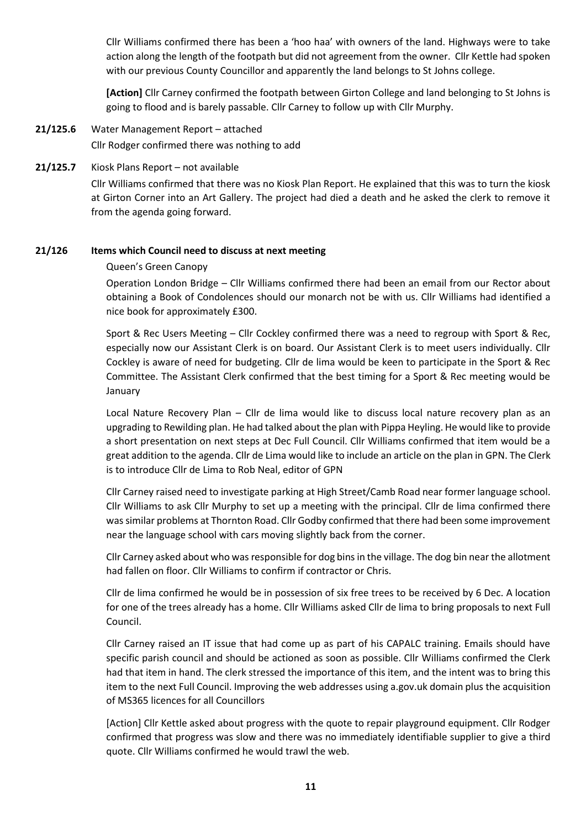Cllr Williams confirmed there has been a 'hoo haa' with owners of the land. Highways were to take action along the length of the footpath but did not agreement from the owner. Cllr Kettle had spoken with our previous County Councillor and apparently the land belongs to St Johns college.

**[Action]** Cllr Carney confirmed the footpath between Girton College and land belonging to St Johns is going to flood and is barely passable. Cllr Carney to follow up with Cllr Murphy.

- **21/125.6** Water Management Report attached Cllr Rodger confirmed there was nothing to add
- **21/125.7** Kiosk Plans Report not available

Cllr Williams confirmed that there was no Kiosk Plan Report. He explained that this was to turn the kiosk at Girton Corner into an Art Gallery. The project had died a death and he asked the clerk to remove it from the agenda going forward.

# **21/126 Items which Council need to discuss at next meeting**

# Queen's Green Canopy

Operation London Bridge – Cllr Williams confirmed there had been an email from our Rector about obtaining a Book of Condolences should our monarch not be with us. Cllr Williams had identified a nice book for approximately £300.

Sport & Rec Users Meeting – Cllr Cockley confirmed there was a need to regroup with Sport & Rec, especially now our Assistant Clerk is on board. Our Assistant Clerk is to meet users individually. Cllr Cockley is aware of need for budgeting. Cllr de lima would be keen to participate in the Sport & Rec Committee. The Assistant Clerk confirmed that the best timing for a Sport & Rec meeting would be January

Local Nature Recovery Plan – Cllr de lima would like to discuss local nature recovery plan as an upgrading to Rewilding plan. He had talked about the plan with Pippa Heyling. He would like to provide a short presentation on next steps at Dec Full Council. Cllr Williams confirmed that item would be a great addition to the agenda. Cllr de Lima would like to include an article on the plan in GPN. The Clerk is to introduce Cllr de Lima to Rob Neal, editor of GPN

Cllr Carney raised need to investigate parking at High Street/Camb Road near former language school. Cllr Williams to ask Cllr Murphy to set up a meeting with the principal. Cllr de lima confirmed there was similar problems at Thornton Road. Cllr Godby confirmed that there had been some improvement near the language school with cars moving slightly back from the corner.

Cllr Carney asked about who was responsible for dog bins in the village. The dog bin near the allotment had fallen on floor. Cllr Williams to confirm if contractor or Chris.

Cllr de lima confirmed he would be in possession of six free trees to be received by 6 Dec. A location for one of the trees already has a home. Cllr Williams asked Cllr de lima to bring proposals to next Full Council.

Cllr Carney raised an IT issue that had come up as part of his CAPALC training. Emails should have specific parish council and should be actioned as soon as possible. Cllr Williams confirmed the Clerk had that item in hand. The clerk stressed the importance of this item, and the intent was to bring this item to the next Full Council. Improving the web addresses using a.gov.uk domain plus the acquisition of MS365 licences for all Councillors

[Action] Cllr Kettle asked about progress with the quote to repair playground equipment. Cllr Rodger confirmed that progress was slow and there was no immediately identifiable supplier to give a third quote. Cllr Williams confirmed he would trawl the web.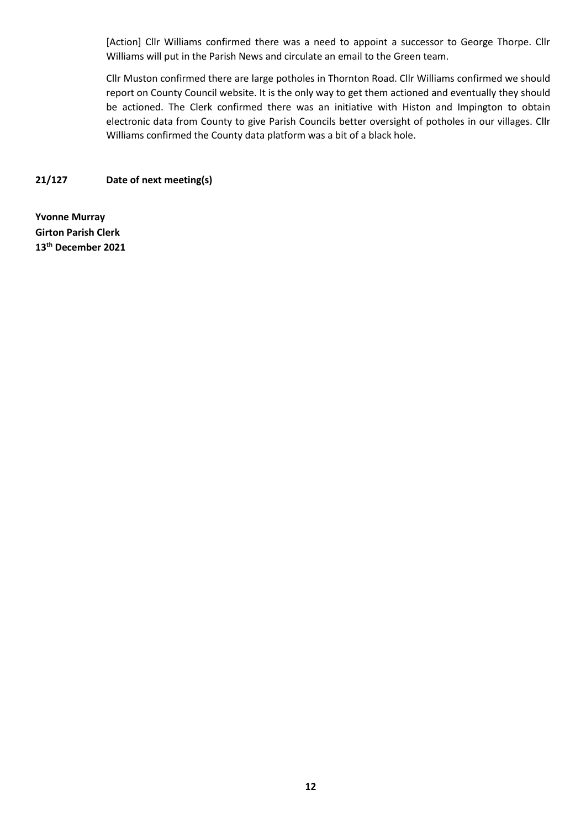[Action] Cllr Williams confirmed there was a need to appoint a successor to George Thorpe. Cllr Williams will put in the Parish News and circulate an email to the Green team.

Cllr Muston confirmed there are large potholes in Thornton Road. Cllr Williams confirmed we should report on County Council website. It is the only way to get them actioned and eventually they should be actioned. The Clerk confirmed there was an initiative with Histon and Impington to obtain electronic data from County to give Parish Councils better oversight of potholes in our villages. Cllr Williams confirmed the County data platform was a bit of a black hole.

**21/127 Date of next meeting(s)**

**Yvonne Murray Girton Parish Clerk 13 th December 2021**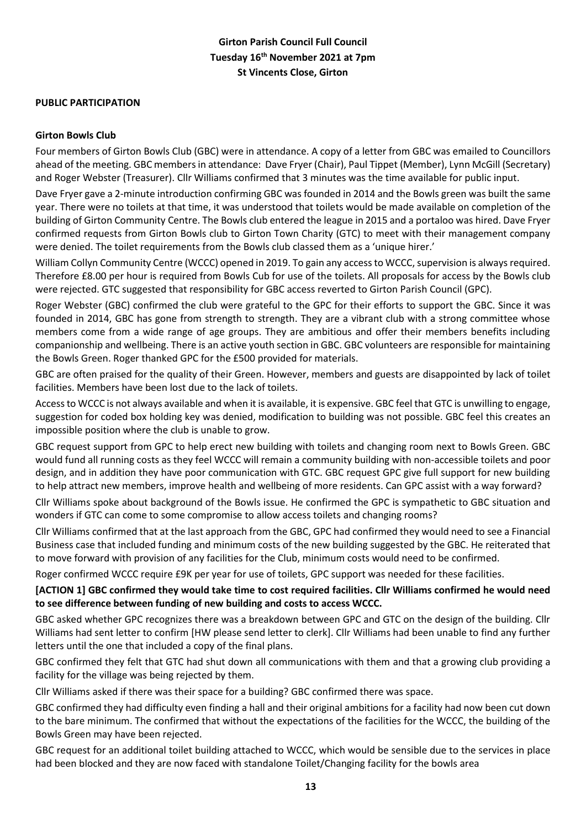# **Girton Parish Council Full Council Tuesday 16th November 2021 at 7pm St Vincents Close, Girton**

# **PUBLIC PARTICIPATION**

#### **Girton Bowls Club**

Four members of Girton Bowls Club (GBC) were in attendance. A copy of a letter from GBC was emailed to Councillors ahead of the meeting. GBC members in attendance: Dave Fryer (Chair), Paul Tippet (Member), Lynn McGill (Secretary) and Roger Webster (Treasurer). Cllr Williams confirmed that 3 minutes was the time available for public input.

Dave Fryer gave a 2-minute introduction confirming GBC was founded in 2014 and the Bowls green was built the same year. There were no toilets at that time, it was understood that toilets would be made available on completion of the building of Girton Community Centre. The Bowls club entered the league in 2015 and a portaloo was hired. Dave Fryer confirmed requests from Girton Bowls club to Girton Town Charity (GTC) to meet with their management company were denied. The toilet requirements from the Bowls club classed them as a 'unique hirer.'

William Collyn Community Centre (WCCC) opened in 2019. To gain any access to WCCC, supervision is always required. Therefore £8.00 per hour is required from Bowls Cub for use of the toilets. All proposals for access by the Bowls club were rejected. GTC suggested that responsibility for GBC access reverted to Girton Parish Council (GPC).

Roger Webster (GBC) confirmed the club were grateful to the GPC for their efforts to support the GBC. Since it was founded in 2014, GBC has gone from strength to strength. They are a vibrant club with a strong committee whose members come from a wide range of age groups. They are ambitious and offer their members benefits including companionship and wellbeing. There is an active youth section in GBC. GBC volunteers are responsible for maintaining the Bowls Green. Roger thanked GPC for the £500 provided for materials.

GBC are often praised for the quality of their Green. However, members and guests are disappointed by lack of toilet facilities. Members have been lost due to the lack of toilets.

Access to WCCC is not always available and when it is available, it is expensive. GBC feel that GTC is unwilling to engage, suggestion for coded box holding key was denied, modification to building was not possible. GBC feel this creates an impossible position where the club is unable to grow.

GBC request support from GPC to help erect new building with toilets and changing room next to Bowls Green. GBC would fund all running costs as they feel WCCC will remain a community building with non-accessible toilets and poor design, and in addition they have poor communication with GTC. GBC request GPC give full support for new building to help attract new members, improve health and wellbeing of more residents. Can GPC assist with a way forward?

Cllr Williams spoke about background of the Bowls issue. He confirmed the GPC is sympathetic to GBC situation and wonders if GTC can come to some compromise to allow access toilets and changing rooms?

Cllr Williams confirmed that at the last approach from the GBC, GPC had confirmed they would need to see a Financial Business case that included funding and minimum costs of the new building suggested by the GBC. He reiterated that to move forward with provision of any facilities for the Club, minimum costs would need to be confirmed.

Roger confirmed WCCC require £9K per year for use of toilets, GPC support was needed for these facilities.

# **[ACTION 1] GBC confirmed they would take time to cost required facilities. Cllr Williams confirmed he would need to see difference between funding of new building and costs to access WCCC.**

GBC asked whether GPC recognizes there was a breakdown between GPC and GTC on the design of the building. Cllr Williams had sent letter to confirm [HW please send letter to clerk]. Cllr Williams had been unable to find any further letters until the one that included a copy of the final plans.

GBC confirmed they felt that GTC had shut down all communications with them and that a growing club providing a facility for the village was being rejected by them.

Cllr Williams asked if there was their space for a building? GBC confirmed there was space.

GBC confirmed they had difficulty even finding a hall and their original ambitions for a facility had now been cut down to the bare minimum. The confirmed that without the expectations of the facilities for the WCCC, the building of the Bowls Green may have been rejected.

GBC request for an additional toilet building attached to WCCC, which would be sensible due to the services in place had been blocked and they are now faced with standalone Toilet/Changing facility for the bowls area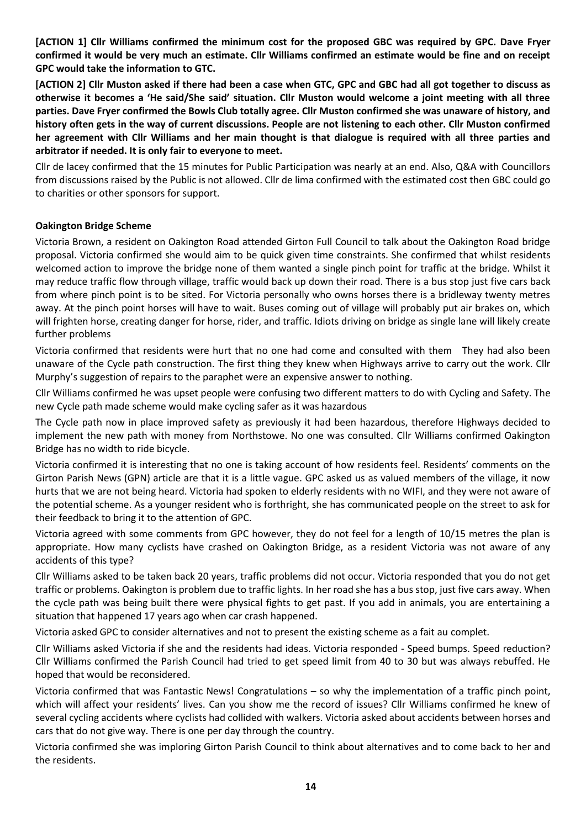**[ACTION 1] Cllr Williams confirmed the minimum cost for the proposed GBC was required by GPC. Dave Fryer confirmed it would be very much an estimate. Cllr Williams confirmed an estimate would be fine and on receipt GPC would take the information to GTC.**

**[ACTION 2] Cllr Muston asked if there had been a case when GTC, GPC and GBC had all got together to discuss as otherwise it becomes a 'He said/She said' situation. Cllr Muston would welcome a joint meeting with all three parties. Dave Fryer confirmed the Bowls Club totally agree. Cllr Muston confirmed she was unaware of history, and history often gets in the way of current discussions. People are not listening to each other. Cllr Muston confirmed her agreement with Cllr Williams and her main thought is that dialogue is required with all three parties and arbitrator if needed. It is only fair to everyone to meet.** 

Cllr de lacey confirmed that the 15 minutes for Public Participation was nearly at an end. Also, Q&A with Councillors from discussions raised by the Public is not allowed. Cllr de lima confirmed with the estimated cost then GBC could go to charities or other sponsors for support.

# **Oakington Bridge Scheme**

Victoria Brown, a resident on Oakington Road attended Girton Full Council to talk about the Oakington Road bridge proposal. Victoria confirmed she would aim to be quick given time constraints. She confirmed that whilst residents welcomed action to improve the bridge none of them wanted a single pinch point for traffic at the bridge. Whilst it may reduce traffic flow through village, traffic would back up down their road. There is a bus stop just five cars back from where pinch point is to be sited. For Victoria personally who owns horses there is a bridleway twenty metres away. At the pinch point horses will have to wait. Buses coming out of village will probably put air brakes on, which will frighten horse, creating danger for horse, rider, and traffic. Idiots driving on bridge as single lane will likely create further problems

Victoria confirmed that residents were hurt that no one had come and consulted with them They had also been unaware of the Cycle path construction. The first thing they knew when Highways arrive to carry out the work. Cllr Murphy's suggestion of repairs to the paraphet were an expensive answer to nothing.

Cllr Williams confirmed he was upset people were confusing two different matters to do with Cycling and Safety. The new Cycle path made scheme would make cycling safer as it was hazardous

The Cycle path now in place improved safety as previously it had been hazardous, therefore Highways decided to implement the new path with money from Northstowe. No one was consulted. Cllr Williams confirmed Oakington Bridge has no width to ride bicycle.

Victoria confirmed it is interesting that no one is taking account of how residents feel. Residents' comments on the Girton Parish News (GPN) article are that it is a little vague. GPC asked us as valued members of the village, it now hurts that we are not being heard. Victoria had spoken to elderly residents with no WIFI, and they were not aware of the potential scheme. As a younger resident who is forthright, she has communicated people on the street to ask for their feedback to bring it to the attention of GPC.

Victoria agreed with some comments from GPC however, they do not feel for a length of 10/15 metres the plan is appropriate. How many cyclists have crashed on Oakington Bridge, as a resident Victoria was not aware of any accidents of this type?

Cllr Williams asked to be taken back 20 years, traffic problems did not occur. Victoria responded that you do not get traffic or problems. Oakington is problem due to traffic lights. In her road she has a bus stop, just five cars away. When the cycle path was being built there were physical fights to get past. If you add in animals, you are entertaining a situation that happened 17 years ago when car crash happened.

Victoria asked GPC to consider alternatives and not to present the existing scheme as a fait au complet.

Cllr Williams asked Victoria if she and the residents had ideas. Victoria responded - Speed bumps. Speed reduction? Cllr Williams confirmed the Parish Council had tried to get speed limit from 40 to 30 but was always rebuffed. He hoped that would be reconsidered.

Victoria confirmed that was Fantastic News! Congratulations – so why the implementation of a traffic pinch point, which will affect your residents' lives. Can you show me the record of issues? Cllr Williams confirmed he knew of several cycling accidents where cyclists had collided with walkers. Victoria asked about accidents between horses and cars that do not give way. There is one per day through the country.

Victoria confirmed she was imploring Girton Parish Council to think about alternatives and to come back to her and the residents.